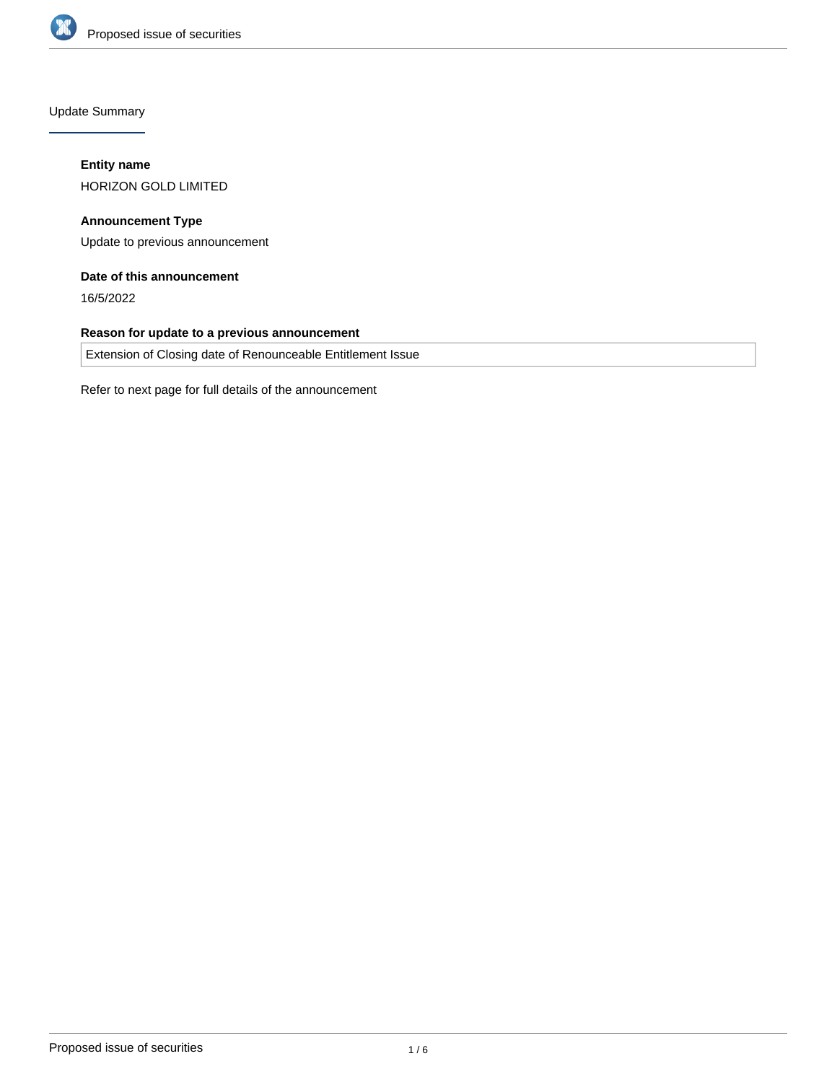

Update Summary

# **Entity name**

HORIZON GOLD LIMITED

**Announcement Type** Update to previous announcement

# **Date of this announcement**

16/5/2022

## **Reason for update to a previous announcement**

Extension of Closing date of Renounceable Entitlement Issue

Refer to next page for full details of the announcement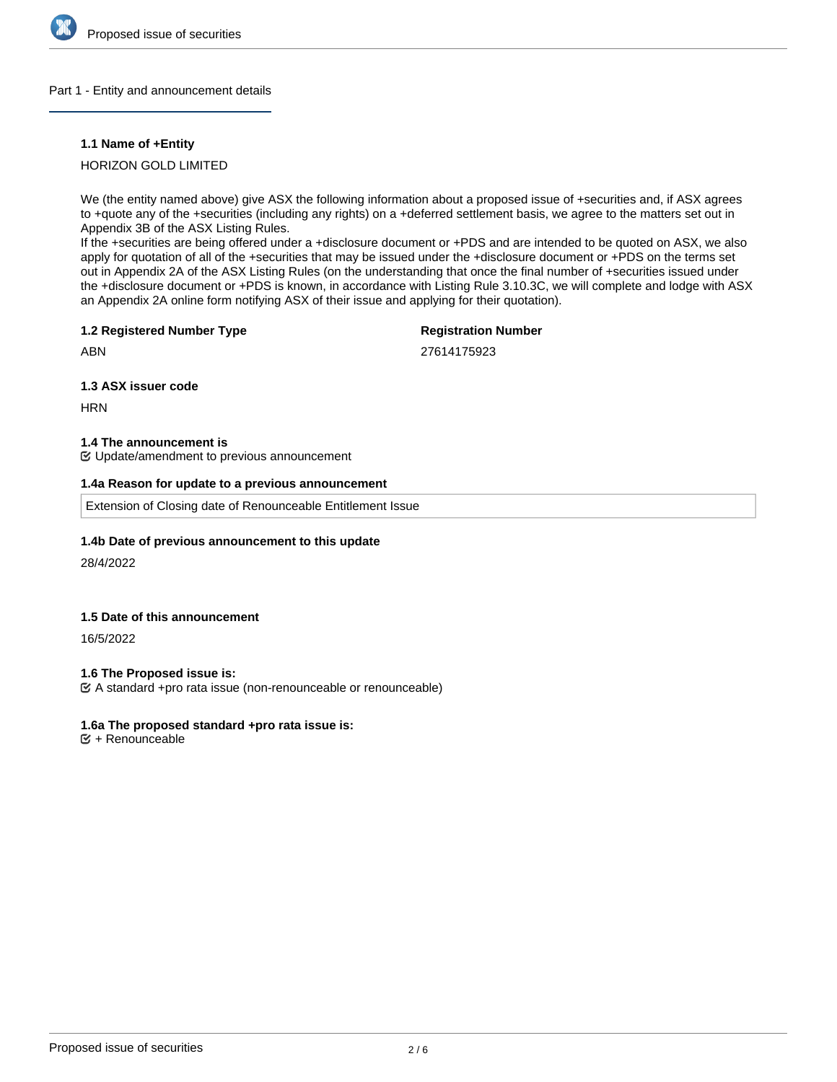

#### Part 1 - Entity and announcement details

### **1.1 Name of +Entity**

## HORIZON GOLD LIMITED

We (the entity named above) give ASX the following information about a proposed issue of +securities and, if ASX agrees to +quote any of the +securities (including any rights) on a +deferred settlement basis, we agree to the matters set out in Appendix 3B of the ASX Listing Rules.

If the +securities are being offered under a +disclosure document or +PDS and are intended to be quoted on ASX, we also apply for quotation of all of the +securities that may be issued under the +disclosure document or +PDS on the terms set out in Appendix 2A of the ASX Listing Rules (on the understanding that once the final number of +securities issued under the +disclosure document or +PDS is known, in accordance with Listing Rule 3.10.3C, we will complete and lodge with ASX an Appendix 2A online form notifying ASX of their issue and applying for their quotation).

#### **1.2 Registered Number Type**

## **Registration Number**

ABN

27614175923

### **1.3 ASX issuer code**

**HRN** 

#### **1.4 The announcement is**

Update/amendment to previous announcement

### **1.4a Reason for update to a previous announcement**

Extension of Closing date of Renounceable Entitlement Issue

### **1.4b Date of previous announcement to this update**

28/4/2022

## **1.5 Date of this announcement**

16/5/2022

### **1.6 The Proposed issue is:**

A standard +pro rata issue (non-renounceable or renounceable)

### **1.6a The proposed standard +pro rata issue is:**

 $<sup>•</sup>$  + Renounceable</sup>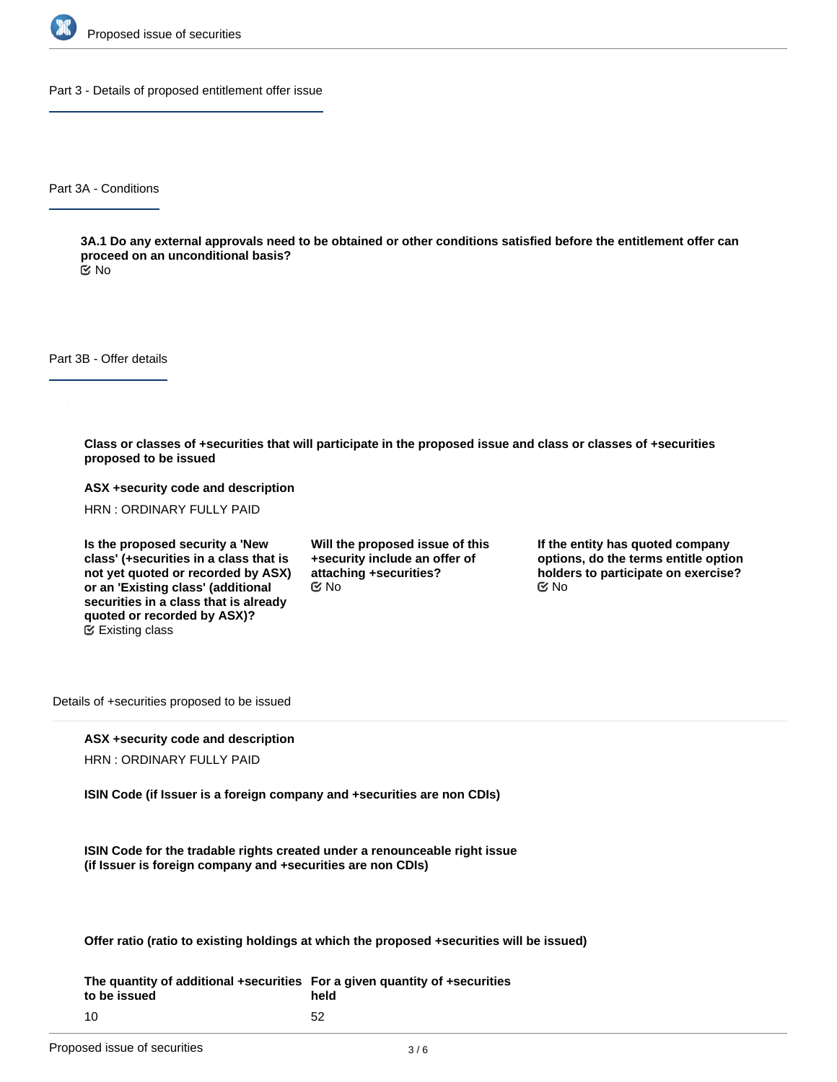

Part 3 - Details of proposed entitlement offer issue

Part 3A - Conditions

**3A.1 Do any external approvals need to be obtained or other conditions satisfied before the entitlement offer can proceed on an unconditional basis?**

No

Part 3B - Offer details

**Class or classes of +securities that will participate in the proposed issue and class or classes of +securities proposed to be issued**

**ASX +security code and description**

HRN : ORDINARY FULLY PAID

**Is the proposed security a 'New class' (+securities in a class that is not yet quoted or recorded by ASX) or an 'Existing class' (additional securities in a class that is already quoted or recorded by ASX)?** Existing class

**Will the proposed issue of this +security include an offer of attaching +securities?**  $\mathfrak{S}$  No  $\mathfrak{S}$  No  $\mathfrak{S}$  No

**If the entity has quoted company options, do the terms entitle option holders to participate on exercise?**

Details of +securities proposed to be issued

### **ASX +security code and description**

HRN : ORDINARY FULLY PAID

**ISIN Code (if Issuer is a foreign company and +securities are non CDIs)**

**ISIN Code for the tradable rights created under a renounceable right issue (if Issuer is foreign company and +securities are non CDIs)**

**Offer ratio (ratio to existing holdings at which the proposed +securities will be issued)**

**The quantity of additional +securities For a given quantity of +securities to be issued** 10 **held** 52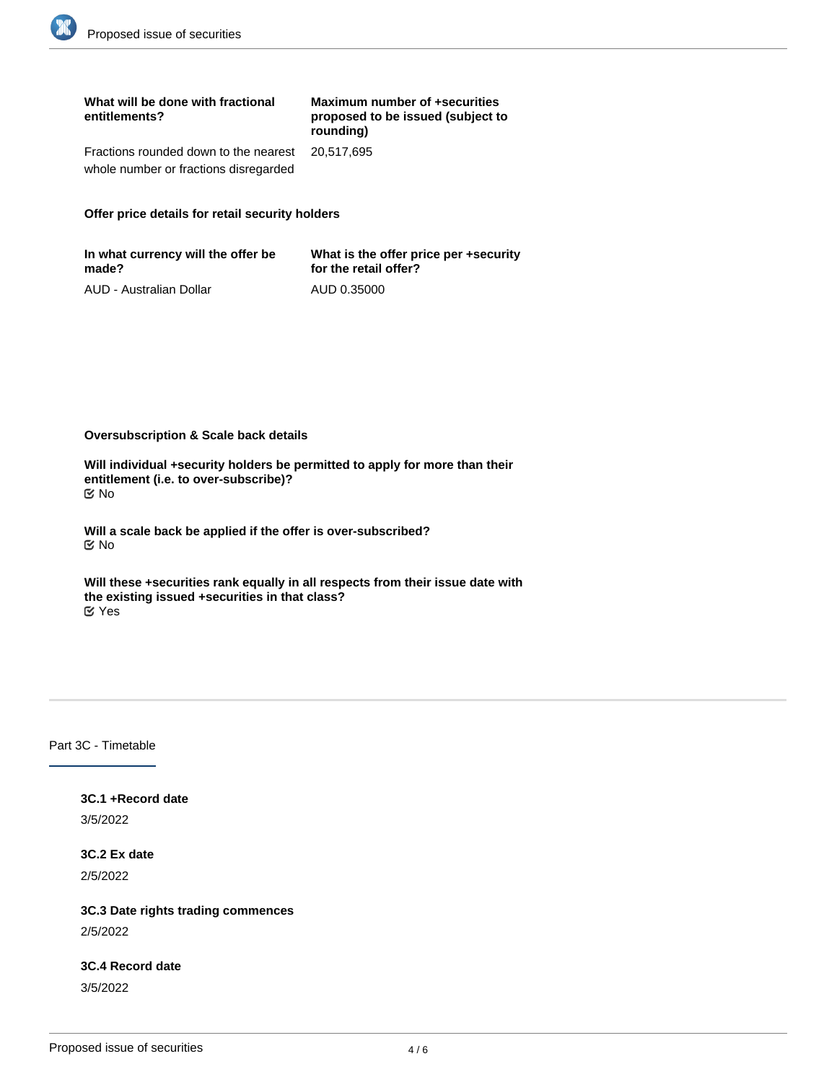| What will be done with fractional<br>entitlements?                                        | Maximum number of +securities<br>proposed to be issued (subject to<br>rounding) |
|-------------------------------------------------------------------------------------------|---------------------------------------------------------------------------------|
| Fractions rounded down to the nearest 20,517,695<br>whole number or fractions disregarded |                                                                                 |

## **Offer price details for retail security holders**

| In what currency will the offer be | What is the offer price per +security |
|------------------------------------|---------------------------------------|
| made?                              | for the retail offer?                 |
| AUD - Australian Dollar            | AUD 0.35000                           |

**Oversubscription & Scale back details**

**Will individual +security holders be permitted to apply for more than their entitlement (i.e. to over-subscribe)?** No

**Will a scale back be applied if the offer is over-subscribed?** No

**Will these +securities rank equally in all respects from their issue date with the existing issued +securities in that class?** Yes

**3C.5 Date on which offer documents will be sent to +security holders**

# Part 3C - Timetable

**3C.1 +Record date** 3/5/2022

**3C.2 Ex date** 2/5/2022

**3C.3 Date rights trading commences** 2/5/2022

**3C.4 Record date** 3/5/2022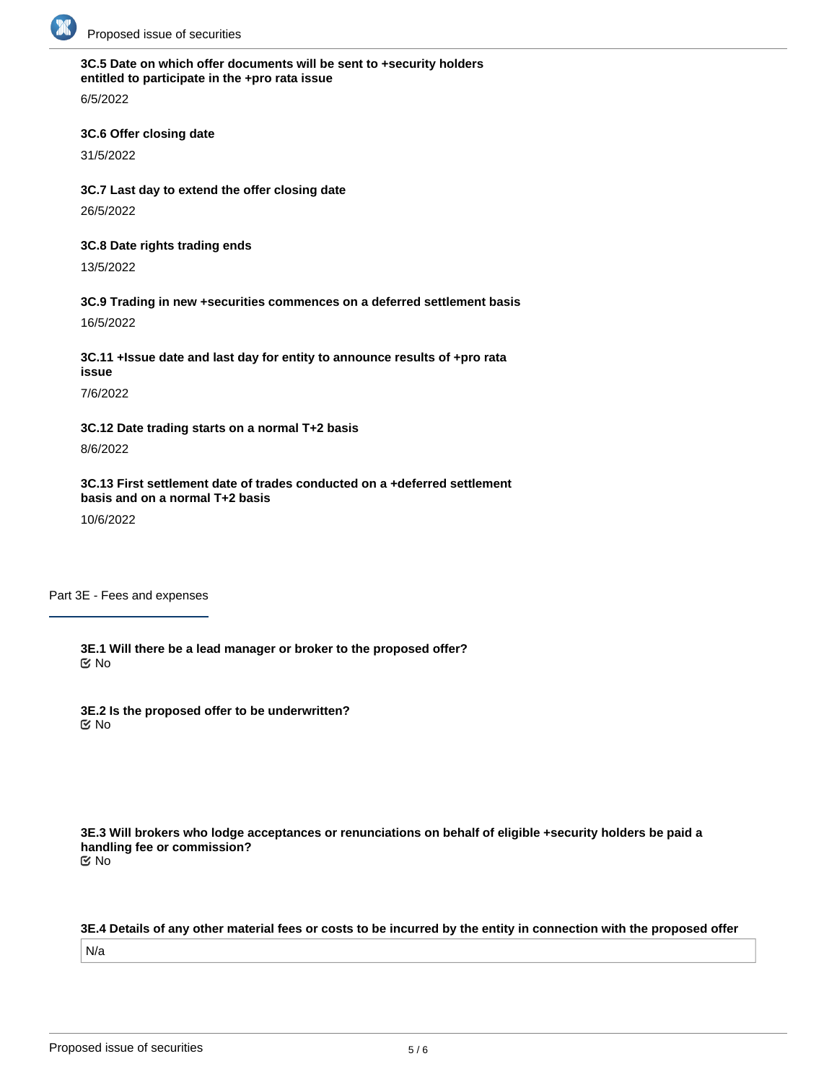

# **3C.5 Date on which offer documents will be sent to +security holders entitled to participate in the +pro rata issue**

6/5/2022

## **3C.6 Offer closing date**

31/5/2022

**3C.7 Last day to extend the offer closing date** 26/5/2022

#### **3C.8 Date rights trading ends**

13/5/2022

# **3C.9 Trading in new +securities commences on a deferred settlement basis**

16/5/2022

**3C.11 +Issue date and last day for entity to announce results of +pro rata issue**

7/6/2022

**3C.12 Date trading starts on a normal T+2 basis** 8/6/2022

**3C.13 First settlement date of trades conducted on a +deferred settlement basis and on a normal T+2 basis**

10/6/2022

Part 3E - Fees and expenses

**3E.1 Will there be a lead manager or broker to the proposed offer?** No

**3E.2 Is the proposed offer to be underwritten?** No

**3E.3 Will brokers who lodge acceptances or renunciations on behalf of eligible +security holders be paid a handling fee or commission?** No

**3E.4 Details of any other material fees or costs to be incurred by the entity in connection with the proposed offer** N/a